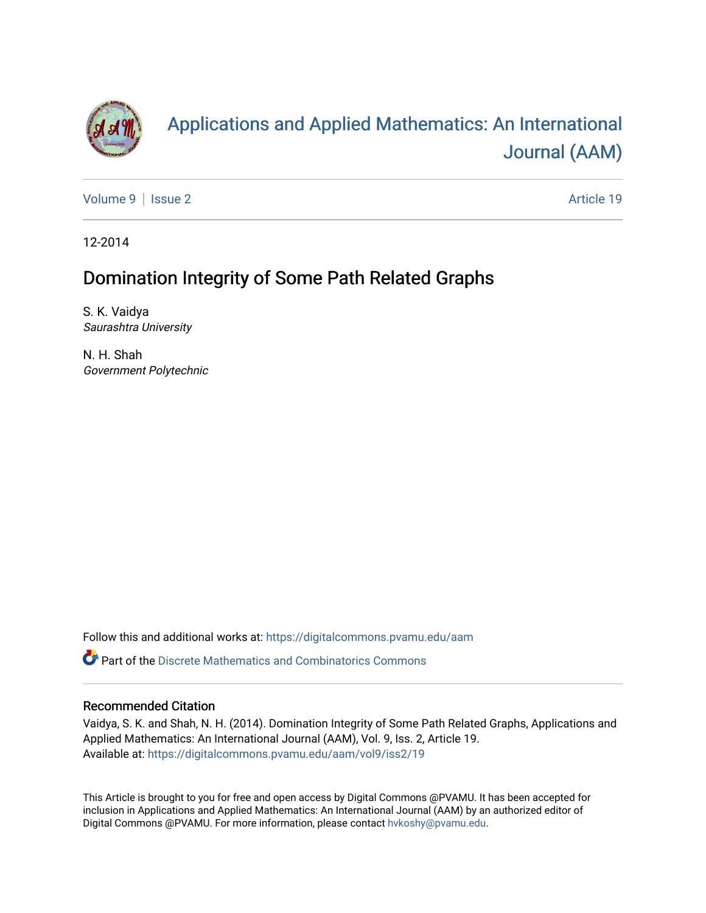

# [Applications and Applied Mathematics: An International](https://digitalcommons.pvamu.edu/aam)  [Journal \(AAM\)](https://digitalcommons.pvamu.edu/aam)

[Volume 9](https://digitalcommons.pvamu.edu/aam/vol9) | [Issue 2](https://digitalcommons.pvamu.edu/aam/vol9/iss2) Article 19

12-2014

# Domination Integrity of Some Path Related Graphs

S. K. Vaidya Saurashtra University

N. H. Shah Government Polytechnic

Follow this and additional works at: [https://digitalcommons.pvamu.edu/aam](https://digitalcommons.pvamu.edu/aam?utm_source=digitalcommons.pvamu.edu%2Faam%2Fvol9%2Fiss2%2F19&utm_medium=PDF&utm_campaign=PDFCoverPages) 

 $\bullet$  Part of the Discrete Mathematics and Combinatorics Commons

#### Recommended Citation

Vaidya, S. K. and Shah, N. H. (2014). Domination Integrity of Some Path Related Graphs, Applications and Applied Mathematics: An International Journal (AAM), Vol. 9, Iss. 2, Article 19. Available at: [https://digitalcommons.pvamu.edu/aam/vol9/iss2/19](https://digitalcommons.pvamu.edu/aam/vol9/iss2/19?utm_source=digitalcommons.pvamu.edu%2Faam%2Fvol9%2Fiss2%2F19&utm_medium=PDF&utm_campaign=PDFCoverPages) 

This Article is brought to you for free and open access by Digital Commons @PVAMU. It has been accepted for inclusion in Applications and Applied Mathematics: An International Journal (AAM) by an authorized editor of Digital Commons @PVAMU. For more information, please contact [hvkoshy@pvamu.edu.](mailto:hvkoshy@pvamu.edu)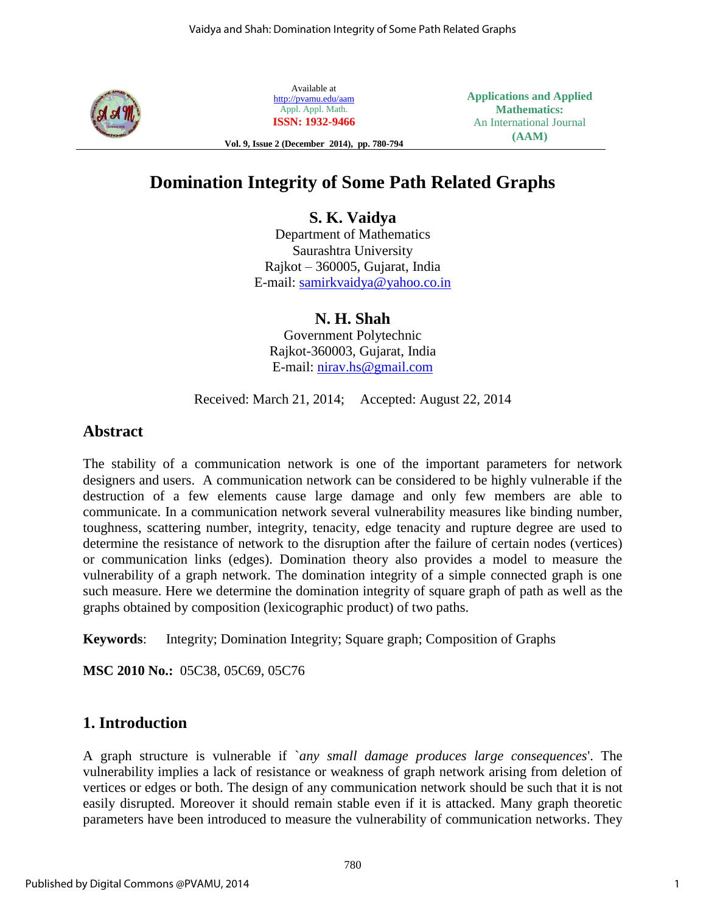

Available at <http://pvamu.edu/aam> Appl. Appl. Math. **ISSN: 1932-9466**

**Applications and Applied Mathematics:** An International Journal **(AAM)**

**Vol. 9, Issue 2 (December 2014), pp. 780-794**

# **Domination Integrity of Some Path Related Graphs**

**S. K. Vaidya** 

Department of Mathematics Saurashtra University Rajkot – 360005, Gujarat, India E-mail: [samirkvaidya@yahoo.co.in](mailto:samirkvaidya@yahoo.co.in)

**N. H. Shah** Government Polytechnic Rajkot-360003, Gujarat, India E-mail: [nirav.hs@gmail.com](mailto:nirav.hs@gmail.com)

Received: March 21, 2014; Accepted: August 22, 2014

# **Abstract**

The stability of a communication network is one of the important parameters for network designers and users. A communication network can be considered to be highly vulnerable if the destruction of a few elements cause large damage and only few members are able to communicate. In a communication network several vulnerability measures like binding number, toughness, scattering number, integrity, tenacity, edge tenacity and rupture degree are used to determine the resistance of network to the disruption after the failure of certain nodes (vertices) or communication links (edges). Domination theory also provides a model to measure the vulnerability of a graph network. The domination integrity of a simple connected graph is one such measure. Here we determine the domination integrity of square graph of path as well as the graphs obtained by composition (lexicographic product) of two paths.

**Keywords**: Integrity; Domination Integrity; Square graph; Composition of Graphs

**MSC 2010 No.:** 05C38, 05C69, 05C76

# **1. Introduction**

A graph structure is vulnerable if `*any small damage produces large consequences*'. The vulnerability implies a lack of resistance or weakness of graph network arising from deletion of vertices or edges or both. The design of any communication network should be such that it is not easily disrupted. Moreover it should remain stable even if it is attacked. Many graph theoretic parameters have been introduced to measure the vulnerability of communication networks. They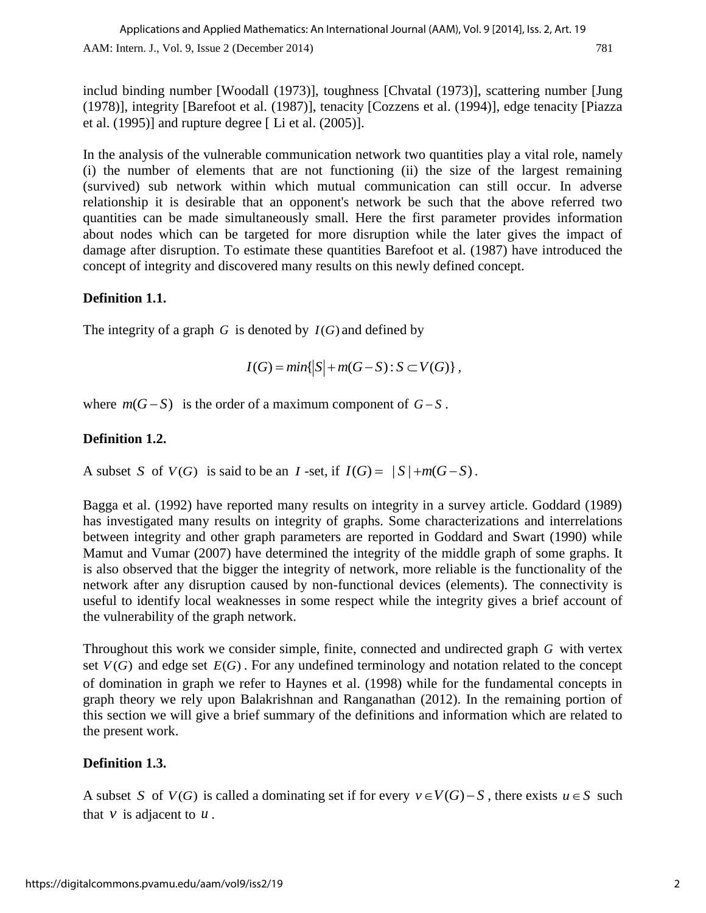includ binding number [Woodall (1973)], toughness [Chvatal (1973)], scattering number [Jung (1978)], integrity [Barefoot et al. (1987)], tenacity [Cozzens et al. (1994)], edge tenacity [Piazza et al. (1995)] and rupture degree [ Li et al. (2005)].

In the analysis of the vulnerable communication network two quantities play a vital role, namely (i) the number of elements that are not functioning (ii) the size of the largest remaining (survived) sub network within which mutual communication can still occur. In adverse relationship it is desirable that an opponent's network be such that the above referred two quantities can be made simultaneously small. Here the first parameter provides information about nodes which can be targeted for more disruption while the later gives the impact of damage after disruption. To estimate these quantities Barefoot et al. (1987) have introduced the concept of integrity and discovered many results on this newly defined concept.

# **Definition 1.1.**

The integrity of a graph  $G$  is denoted by  $I(G)$  and defined by

 $I(G) = min\{|S| + m(G - S) : S \subset V(G)\},\$ 

where  $m(G-S)$  is the order of a maximum component of  $G-S$ .

# **Definition 1.2.**

A subset S of  $V(G)$  is said to be an I-set, if  $I(G) = |S| + m(G-S)$ .

Bagga et al. (1992) have reported many results on integrity in a survey article. Goddard (1989) has investigated many results on integrity of graphs. Some characterizations and interrelations between integrity and other graph parameters are reported in Goddard and Swart (1990) while Mamut and Vumar (2007) have determined the integrity of the middle graph of some graphs. It is also observed that the bigger the integrity of network, more reliable is the functionality of the network after any disruption caused by non-functional devices (elements). The connectivity is useful to identify local weaknesses in some respect while the integrity gives a brief account of the vulnerability of the graph network.

Throughout this work we consider simple, finite, connected and undirected graph *G* with vertex set  $V(G)$  and edge set  $E(G)$ . For any undefined terminology and notation related to the concept of domination in graph we refer to Haynes et al. (1998) while for the fundamental concepts in graph theory we rely upon Balakrishnan and Ranganathan (2012). In the remaining portion of this section we will give a brief summary of the definitions and information which are related to the present work.

# **Definition 1.3.**

A subset S of  $V(G)$  is called a dominating set if for every  $v \in V(G) - S$ , there exists  $u \in S$  such that  $v$  is adjacent to  $u$ .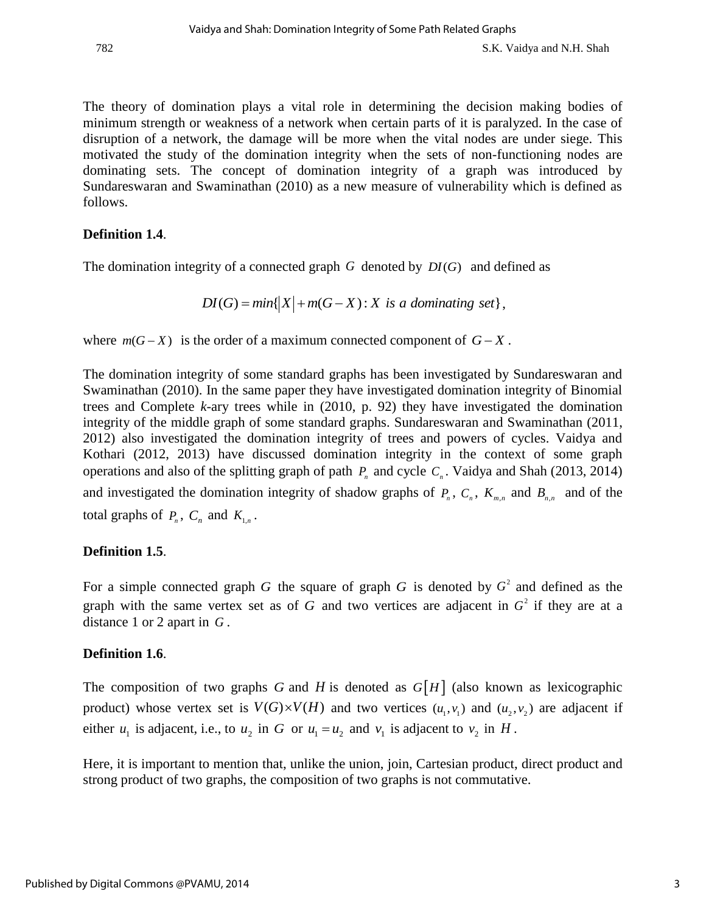The theory of domination plays a vital role in determining the decision making bodies of minimum strength or weakness of a network when certain parts of it is paralyzed. In the case of disruption of a network, the damage will be more when the vital nodes are under siege. This motivated the study of the domination integrity when the sets of non-functioning nodes are dominating sets. The concept of domination integrity of a graph was introduced by Sundareswaran and Swaminathan (2010) as a new measure of vulnerability which is defined as follows.

# **Definition 1.4**.

The domination integrity of a connected graph  $G$  denoted by  $DI(G)$  and defined as

 $DI(G) = min\{|X| + m(G - X) : X \text{ is a dominating set}\},$ 

where  $m(G-X)$  is the order of a maximum connected component of  $G-X$ .

The domination integrity of some standard graphs has been investigated by Sundareswaran and Swaminathan (2010). In the same paper they have investigated domination integrity of Binomial trees and Complete *k*-ary trees while in (2010, p. 92) they have investigated the domination integrity of the middle graph of some standard graphs. Sundareswaran and Swaminathan (2011, 2012) also investigated the domination integrity of trees and powers of cycles. Vaidya and Kothari (2012, 2013) have discussed domination integrity in the context of some graph operations and also of the splitting graph of path  $P_n$  and cycle  $C_n$ . Vaidya and Shah (2013, 2014) and investigated the domination integrity of shadow graphs of  $P_n$ ,  $C_n$ ,  $K_{m,n}$  and  $B_{n,n}$  and of the total graphs of  $P_n$ ,  $C_n$  and  $K_{1,n}$ .

# **Definition 1.5**.

For a simple connected graph G the square of graph G is denoted by  $G<sup>2</sup>$  and defined as the graph with the same vertex set as of  $G$  and two vertices are adjacent in  $G<sup>2</sup>$  if they are at a distance 1 or 2 apart in *G* .

# **Definition 1.6**.

The composition of two graphs G and H is denoted as  $G[H]$  (also known as lexicographic product) whose vertex set is  $V(G) \times V(H)$  and two vertices  $(u_1, v_1)$  and  $(u_2, v_2)$  are adjacent if either  $u_1$  is adjacent, i.e., to  $u_2$  in G or  $u_1 = u_2$  and  $v_1$  is adjacent to  $v_2$  in H.

Here, it is important to mention that, unlike the union, join, Cartesian product, direct product and strong product of two graphs, the composition of two graphs is not commutative.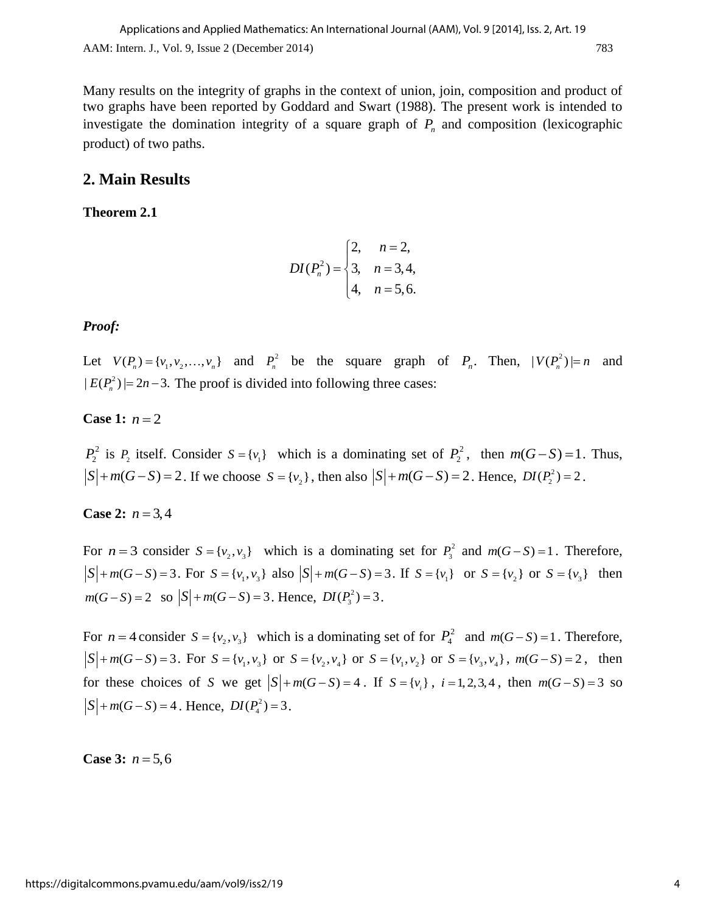Many results on the integrity of graphs in the context of union, join, composition and product of two graphs have been reported by Goddard and Swart (1988). The present work is intended to investigate the domination integrity of a square graph of  $P_n$  and composition (lexicographic product) of two paths.

# **2. Main Results**

**Theorem 2.1**

$$
DI(P_n^2) = \begin{cases} 2, & n = 2, \\ 3, & n = 3, 4, \\ 4, & n = 5, 6. \end{cases}
$$

# *Proof:*

Let  $V(P_n) = \{v_1, v_2, \dots, v_n\}$  and  $P_n^2$  be the square graph of  $P_n$ . Then,  $|V(P_n^2)| = n$  and  $|E(P_n^2)| = 2n - 3$ . The proof is divided into following three cases:

**Case 1:**  $n = 2$ 

 $P_2^2$  is  $P_2$  itself. Consider  $S = \{v_1\}$  which is a dominating set of  $P_2^2$ , then  $m(G-S) = 1$ . Thus,  $S + m(G - S) = 2$ . If we choose  $S = \{v_2\}$ , then also  $|S| + m(G - S) = 2$ . Hence,  $DI(P_2^2) = 2$ .

# **Case 2:**  $n = 3, 4$

For  $n = 3$  consider  $S = \{v_2, v_3\}$  which is a dominating set for  $P_3^2$  and  $m(G-S) = 1$ . Therefore,  $S \mid +m(G-S)=3$ . For  $S = \{v_1, v_3\}$  also  $|S|+m(G-S)=3$ . If  $S = \{v_1\}$  or  $S = \{v_2\}$  or  $S = \{v_3\}$  then  $m(G-S) = 2$  so  $|S| + m(G-S) = 3$ . Hence,  $DI(P_3^2) = 3$ .

For  $n = 4$  consider  $S = \{v_2, v_3\}$  which is a dominating set of for  $P_4^2$  and  $m(G-S) = 1$ . Therefore,  $S \mid +m(G-S)=3$ . For  $S = \{v_1, v_3\}$  or  $S = \{v_2, v_4\}$  or  $S = \{v_1, v_2\}$  or  $S = \{v_3, v_4\}$ ,  $m(G-S)=2$ , then for these choices of S we get  $|S| + m(G - S) = 4$ . If  $S = \{v_i\}$ ,  $i = 1, 2, 3, 4$ , then  $m(G - S) = 3$  so  $S \mid +m(G-S) = 4$ . Hence,  $DI(P_4^2) = 3$ .

**Case 3:**  $n = 5,6$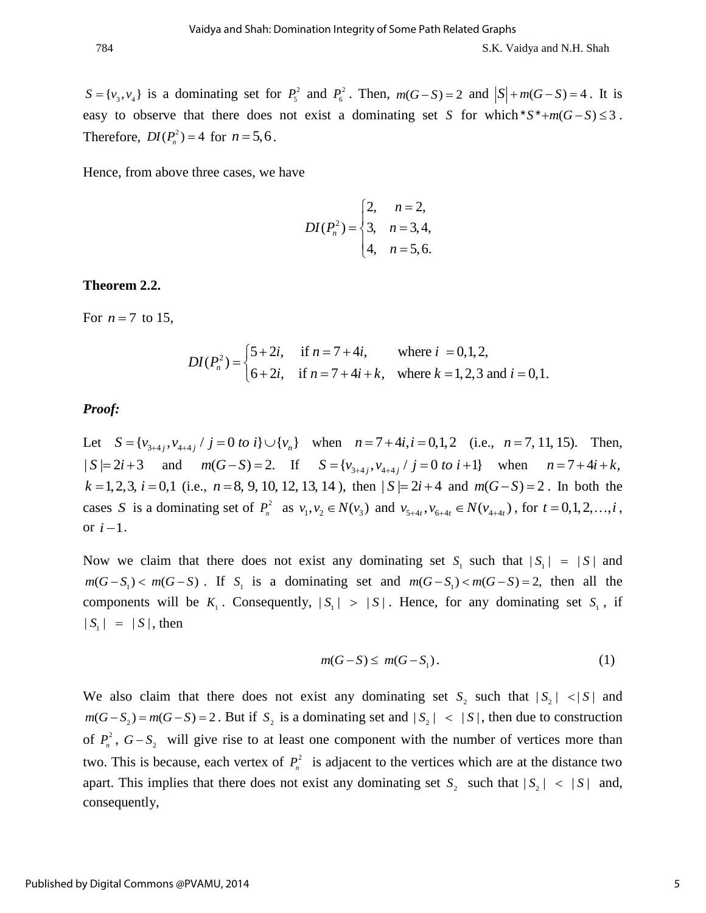$S = \{v_3, v_4\}$  is a dominating set for  $P_5^2$  and  $P_6^2$ . Then,  $m(G-S) = 2$  and  $|S| + m(G-S) = 4$ . It is easy to observe that there does not exist a dominating set S for which \*  $S^* + m(G - S) \leq 3$ . Therefore,  $DI(P_n^2) = 4$  for  $n = 5, 6$ .

Hence, from above three cases, we have

$$
DI(P_n^2) = \begin{cases} 2, & n = 2, \\ 3, & n = 3, 4, \\ 4, & n = 5, 6. \end{cases}
$$

#### **Theorem 2.2.**

For  $n = 7$  to 15,

$$
DI(P_n^2) = \begin{cases} 5+2i, & \text{if } n = 7+4i, \\ 6+2i, & \text{if } n = 7+4i+k, \text{ where } k = 1,2,3 \text{ and } i = 0,1. \end{cases}
$$

*Proof:* 

Let  $S = \{v_{3+4j}, v_{4+4j} \mid j = 0 \text{ to } i\} \cup \{v_n\}$  when  $n = 7 + 4i, i = 0, 1, 2$  (i.e.,  $n = 7, 11, 15$ ). Then,  $|S| = 2i + 3$  and  $m(G - S) = 2$ . If  $S = {v_{3+4j}, v_{4+4j}} / j = 0$  to  $i + 1$  when  $n = 7 + 4i + k$ ,  $k = 1, 2, 3, i = 0, 1$  (i.e.,  $n = 8, 9, 10, 12, 13, 14$ ), then  $|S| = 2i + 4$  and  $m(G - S) = 2$ . In both the cases *S* is a dominating set of  $P_n^2$  as  $v_1, v_2 \in N(v_3)$  and  $v_{5+4t}, v_{6+4t} \in N(v_{4+4t})$ , for  $t = 0, 1, 2, ..., i$ , or  $i-1$ .

Now we claim that there does not exist any dominating set  $S_1$  such that  $|S_1| = |S|$  and  $m(G-S_1) < m(G-S)$ . If  $S_1$  is a dominating set and  $m(G-S_1) < m(G-S) = 2$ , then all the components will be  $K_1$ . Consequently,  $|S_1| > |S|$ . Hence, for any dominating set  $S_1$ , if  $|S_1| = |S|$ , then

$$
m(G-S) \le m(G-S_1). \tag{1}
$$

We also claim that there does not exist any dominating set  $S_2$  such that  $|S_2| < |S|$  and  $m(G-S_2) = m(G-S) = 2$ . But if  $S_2$  is a dominating set and  $|S_2| < |S|$ , then due to construction of  $P_n^2$ ,  $G-S_2$  will give rise to at least one component with the number of vertices more than two. This is because, each vertex of  $P_n^2$  is adjacent to the vertices which are at the distance two apart. This implies that there does not exist any dominating set  $S_2$  such that  $|S_2| < |S|$  and, consequently,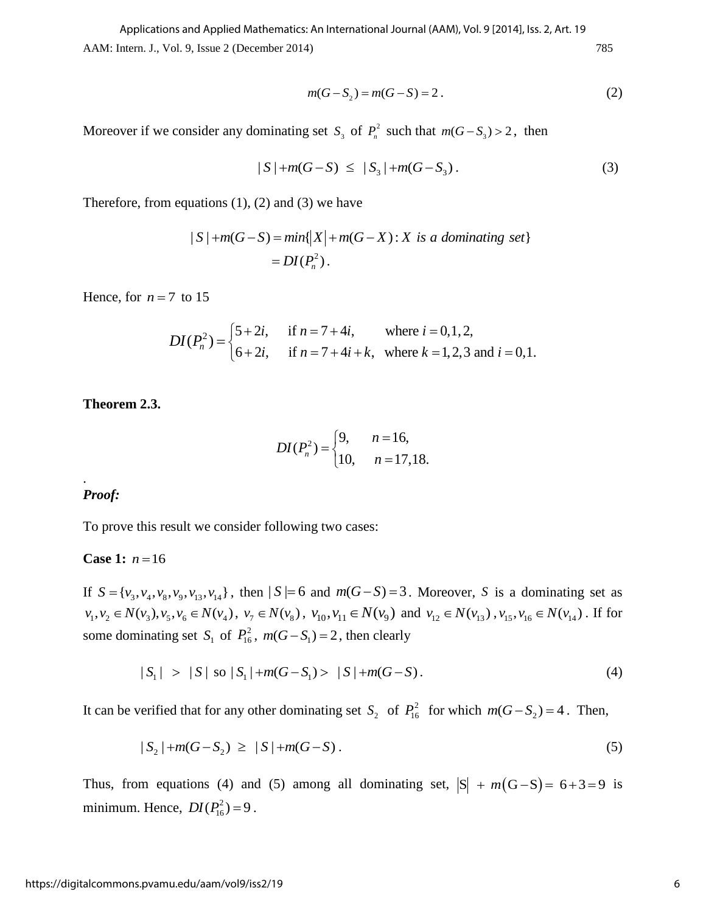AAM: Intern. J., Vol. 9, Issue 2 (December 2014) 785 Applications and Applied Mathematics: An International Journal (AAM), Vol. 9 [2014], Iss. 2, Art. 19

$$
m(G - S_2) = m(G - S) = 2.
$$
 (2)

Moreover if we consider any dominating set  $S_3$  of  $P_n^2$  such that  $m(G-S_3) > 2$ , then

$$
|S| + m(G - S) \le |S_3| + m(G - S_3). \tag{3}
$$

Therefore, from equations (1), (2) and (3) we have  
\n
$$
|S| + m(G - S) = min\{|X| + m(G - X) : X \text{ is a dominating set}\}
$$
\n
$$
= DI(P_n^2).
$$

Hence, for  $n = 7$  to 15<br> $DI(P_n^2)$ 

7 to 15  
\n
$$
DI(P_n^2) = \begin{cases} 5+2i, & \text{if } n = 7+4i, \\ 6+2i, & \text{if } n = 7+4i+k, \text{ where } k = 1,2,3 \text{ and } i = 0,1. \end{cases}
$$

#### **Theorem 2.3.**

$$
DI(P_n^2) = \begin{cases} 9, & n = 16, \\ 10, & n = 17,18. \end{cases}
$$

#### *Proof:*

.

To prove this result we consider following two cases:

#### **Case 1:**  $n = 16$

If  $S = \{v_3, v_4, v_8, v_9, v_{13}, v_{14}\}\$ , then  $|S| = 6$  and  $m(G-S) = 3$ . Moreover, S is a dominating set as  $v_1, v_2 \in N(v_3), v_5, v_6 \in N(v_4), v_7 \in N(v_8), v_{10}, v_{11} \in N(v_9)$  and  $v_{12} \in N(v_{13}), v_{15}, v_{16} \in N(v_{14})$ . If for some dominating set  $S_1$  of  $P_{16}^2$ ,  $m(G-S_1)=2$ , then clearly

$$
|S_1| > |S| \text{ so } |S_1| + m(G - S_1) > |S| + m(G - S). \tag{4}
$$

It can be verified that for any other dominating set  $S_2$  of  $P_{16}^2$  for which  $m(G-S_2)=4$ . Then,

$$
|S_2| + m(G - S_2) \ge |S| + m(G - S). \tag{5}
$$

Thus, from equations (4) and (5) among all dominating set,  $|S| + m(G-S) = 6 + 3 = 9$  is minimum. Hence,  $DI(P_{16}^2) = 9$ .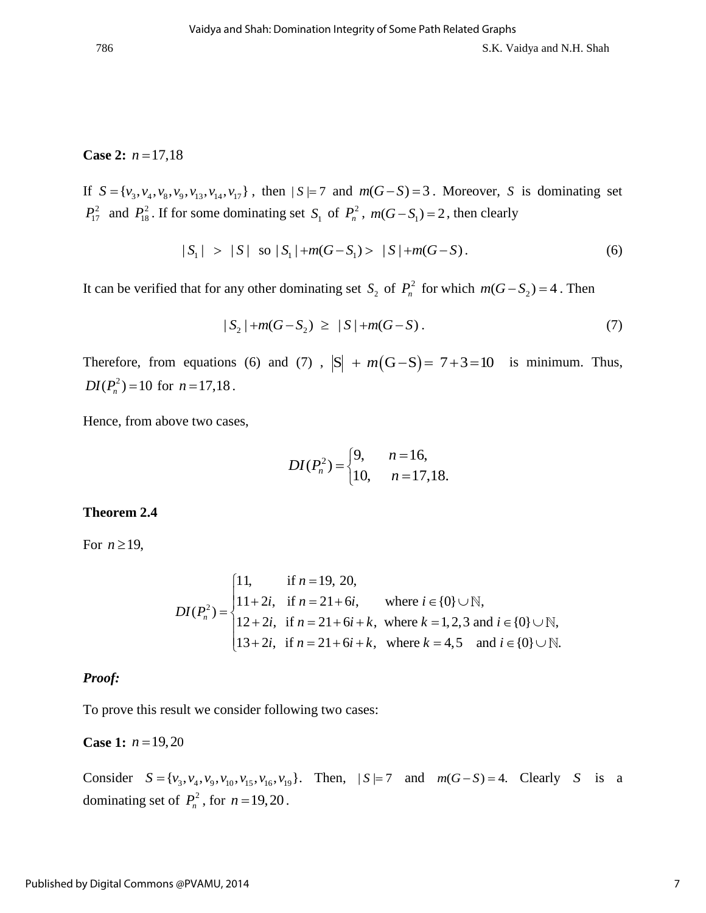## **Case 2:**  $n = 17,18$

If  $S = \{v_3, v_4, v_8, v_9, v_{13}, v_{14}, v_{17}\}\$ , then  $|S| = 7$  and  $m(G-S) = 3$ . Moreover, *S* is dominating set  $P_{17}^2$  and  $P_{18}^2$ . If for some dominating set  $S_1$  of  $P_n^2$ ,  $m(G-S_1)=2$ , then clearly

$$
|S_1| > |S|
$$
 so  $|S_1| + m(G - S_1) > |S| + m(G - S)$ . (6)

It can be verified that for any other dominating set  $S_2$  of  $P_n^2$  for which  $m(G-S_2)=4$ . Then

$$
|S_2| + m(G - S_2) \ge |S| + m(G - S). \tag{7}
$$

Therefore, from equations (6) and (7),  $|S| + m(G-S) = 7 + 3 = 10$  is minimum. Thus,  $DI(P_n^2) = 10$  for  $n = 17,18$ .

Hence, from above two cases,

$$
DI(P_n^2) = \begin{cases} 9, & n = 16, \\ 10, & n = 17,18. \end{cases}
$$

#### **Theorem 2.4**

For  $n \geq 19$ ,

$$
DI(P_n^2) = \begin{cases} 11, & \text{if } n = 19, 20, \\ 11+2i, & \text{if } n = 21+6i, \\ 12+2i, & \text{if } n = 21+6i+k, \text{ where } k = 1, 2, 3 \text{ and } i \in \{0\} \cup \mathbb{N}, \\ 13+2i, & \text{if } n = 21+6i+k, \text{ where } k = 4, 5 \text{ and } i \in \{0\} \cup \mathbb{N}. \end{cases}
$$

### *Proof:*

To prove this result we consider following two cases:

**Case 1:**  $n = 19,20$ 

Consider  $S = \{v_3, v_4, v_9, v_{10}, v_{15}, v_{16}, v_{19}\}.$  Then,  $|S| = 7$  and  $m(G-S) = 4$ . Clearly S is a dominating set of  $P_n^2$ , for  $n = 19,20$ .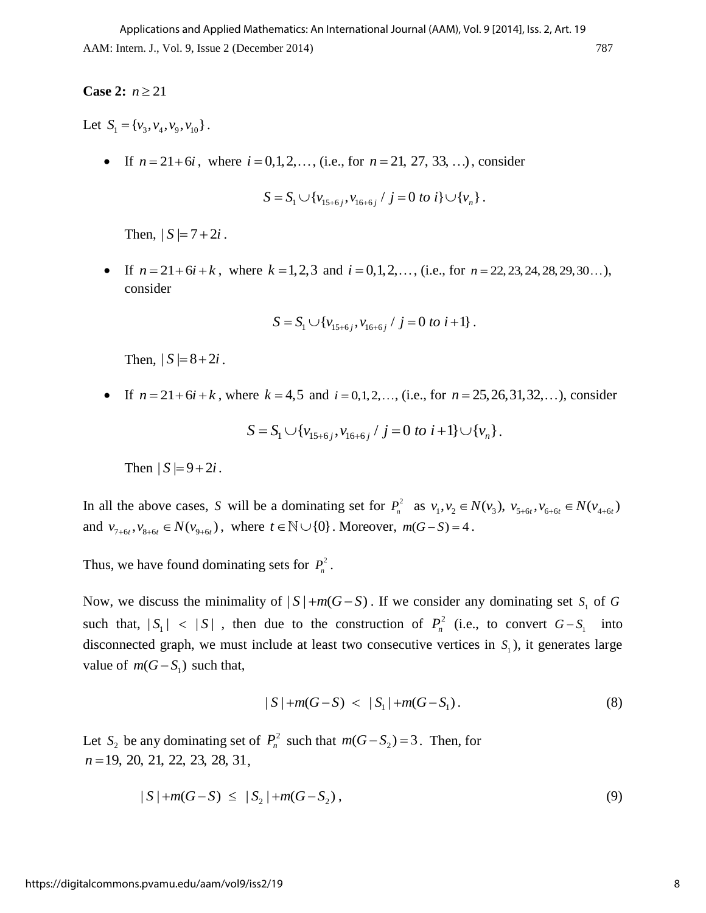#### **Case 2:**  $n \ge 21$

Let  $S_1 = \{v_3, v_4, v_9, v_{10}\}.$ 

If  $n = 21 + 6i$ , where  $i = 0, 1, 2, \dots$ , (i.e., for  $n = 21, 27, 33, \dots$ ), consider

$$
S = S_1 \cup \{v_{15+6j}, v_{16+6j} / j = 0 \text{ to } i\} \cup \{v_n\}.
$$

Then,  $|S| = 7 + 2i$ .

If  $n = 21 + 6i + k$ , where  $k = 1, 2, 3$  and  $i = 0, 1, 2, \dots$ , (i.e., for  $n = 22, 23, 24, 28, 29, 30 \dots$ ), consider

$$
S = S_1 \cup \{v_{15+6j}, v_{16+6j} / j = 0 \text{ to } i+1\}.
$$

Then,  $|S| = 8 + 2i$ .

If  $n = 21 + 6i + k$ , where  $k = 4,5$  and  $i = 0,1,2,...$ , (i.e., for  $n = 25,26,31,32,...$ ), consider  $S = S_1 \cup \{v_{15+6j}, v_{16+6j} / j = 0 \text{ to } i+1\} \cup \{v_n\}.$ 

$$
S = S_1 \cup \{v_{15+6i}, v_{16+6i} / j = 0 \text{ to } i+1\} \cup \{v_n\}.
$$

Then  $|S| = 9 + 2i$ .

In all the above cases, *S* will be a dominating set for  $P_n^2$  as  $v_1, v_2 \in N(v_3)$ ,  $v_{5+6t}, v_{6+6t} \in N(v_{4+6t})$ and  $v_{7+6t}$ ,  $v_{8+6t} \in N(v_{9+6t})$ , where  $t \in \mathbb{N} \cup \{0\}$ . Moreover,  $m(G-S) = 4$ .

Thus, we have found dominating sets for  $P_n^2$ .

Now, we discuss the minimality of  $|S| + m(G - S)$ . If we consider any dominating set  $S<sub>1</sub>$  of G such that,  $|S_1| < |S|$ , then due to the construction of  $P_n^2$  (i.e., to convert  $G-S_1$  into disconnected graph, we must include at least two consecutive vertices in  $S_1$ ), it generates large value of  $m(G-S_1)$  such that,

$$
|S| + m(G - S) < |S_1| + m(G - S_1). \tag{8}
$$

Let  $S_2$  be any dominating set of  $P_n^2$  such that  $m(G-S_2)=3$ . Then, for *n* = 19, 20, 21, 22, 23, 28, 31,

$$
|S| + m(G - S) \le |S_2| + m(G - S_2), \tag{9}
$$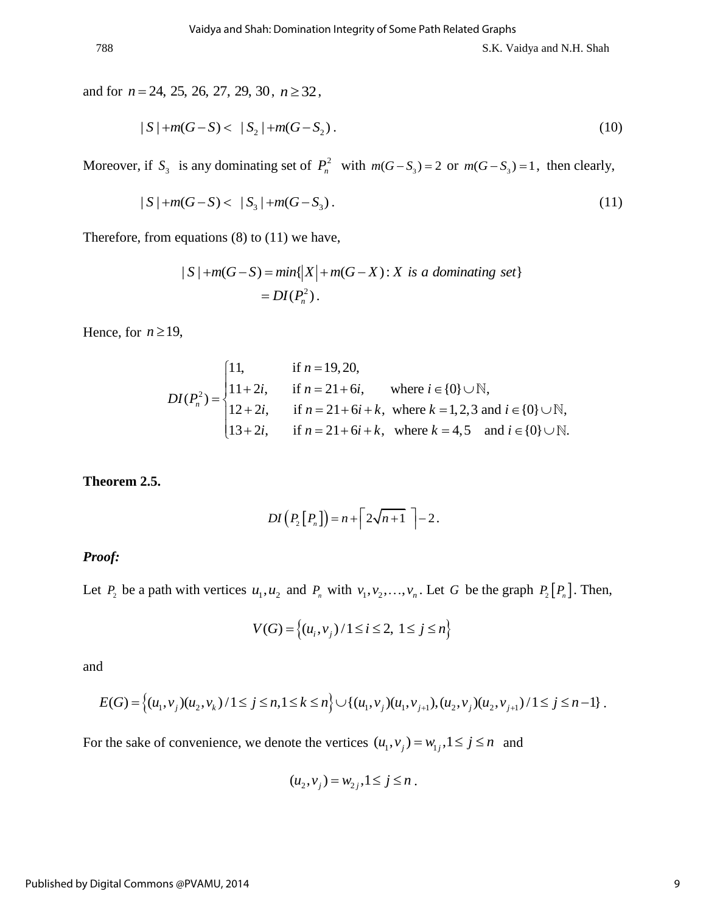and for  $n = 24, 25, 26, 27, 29, 30, n \ge 32$ ,

$$
|S| + m(G - S) < |S_2| + m(G - S_2). \tag{10}
$$

Moreover, if  $S_3$  is any dominating set of  $P_n^2$  with  $m(G-S_3) = 2$  or  $m(G-S_3) = 1$ , then clearly,

$$
|S| + m(G - S) < |S_3| + m(G - S_3). \tag{11}
$$

Therefore, from equations (8) to (11) we have,  
\n
$$
|S| + m(G - S) = min\{|X| + m(G - X) : X \text{ is a dominating set}\}
$$
\n
$$
= DI(P_n^2).
$$

Hence, for  $n \ge 19$ ,

19,  
\n
$$
DI(P_n^2) = \begin{cases}\n11, & \text{if } n = 19,20, \\
11+2i, & \text{if } n = 21+6i, \\
12+2i, & \text{if } n = 21+6i+k, \text{ where } k = 1,2,3 \text{ and } i \in \{0\} \cup \mathbb{N}, \\
13+2i, & \text{if } n = 21+6i+k, \text{ where } k = 4,5 \text{ and } i \in \{0\} \cup \mathbb{N}.\n\end{cases}
$$

**Theorem 2.5.**

$$
DI(P_2[P_n]) = n + \left\lceil 2\sqrt{n+1} \right\rceil - 2.
$$

*Proof:* 

Let  $P_2$  be a path with vertices  $u_1, u_2$  and  $P_n$  with  $v_1, v_2, \ldots, v_n$ . Let G be the graph  $P_2[P_n]$ . Then,

$$
V(G) = \{(u_i, v_j) / 1 \le i \le 2, 1 \le j \le n\}
$$

and

and  
\n
$$
E(G) = \{(u_1, v_j)(u_2, v_k)/1 \le j \le n, 1 \le k \le n\} \cup \{(u_1, v_j)(u_1, v_{j+1}), (u_2, v_j)(u_2, v_{j+1})/1 \le j \le n-1\}.
$$

For the sake of convenience, we denote the vertices  $(u_1, v_1) = w_{1j}$ ,  $1 \le j \le n$  and

$$
(u_2, v_j) = w_{2j}, 1 \le j \le n.
$$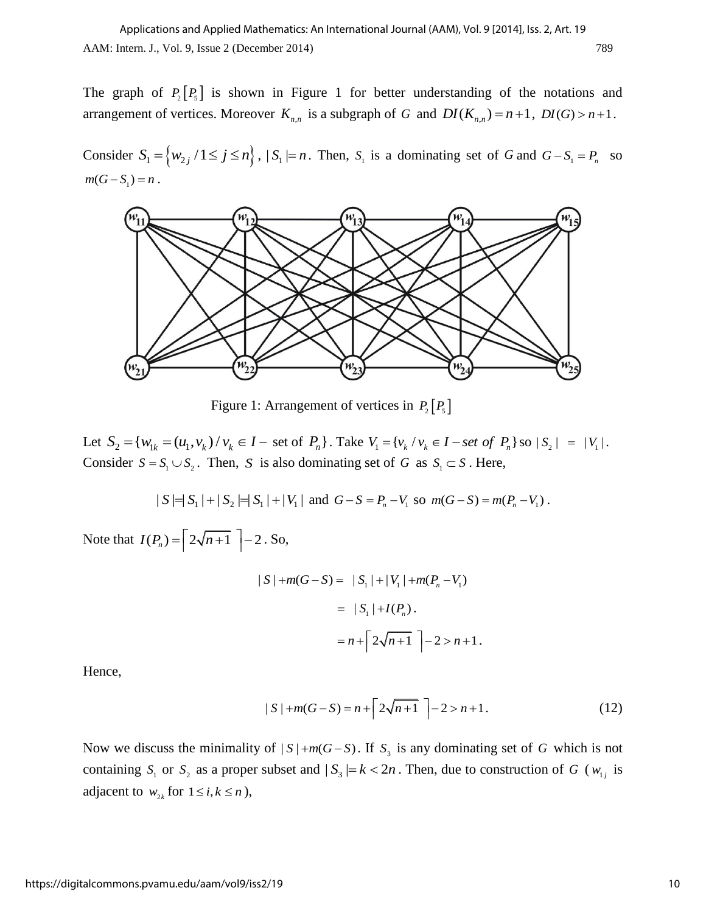The graph of  $P_2[P_5]$  is shown in Figure 1 for better understanding of the notations and arrangement of vertices. Moreover  $K_{n,n}$  is a subgraph of G and  $DI(K_{n,n}) = n+1$ ,  $DI(G) > n+1$ .

Consider  $S_1 = \{w_{2j} / 1 \le j \le n\}$ ,  $|S_1| = n$ . Then,  $S_1$  is a dominating set of G and  $G - S_1 = P_n$  so  $m(G - S_1) = n$ .



Figure 1: Arrangement of vertices in  $P_2[P_5]$ 

Let  $S_2 = \{w_{1k} = (u_1, v_k) / v_k \in I - \text{ set of } P_n\}$ . Take  $V_1 = \{v_k / v_k \in I - \text{set of } P_n\}$  so  $|S_2| = |V_1|$ . Consider  $S = S_1 \cup S_2$ . Then, *S* is also dominating set of *G* as  $S_1 \subset S$ . Here,

$$
|S| = |S_1| + |S_2| = |S_1| + |V_1|
$$
 and  $G - S = P_n - V_1$  so  $m(G - S) = m(P_n - V_1)$ .

Note that  $I(P_n) = \left\lceil 2\sqrt{n+1} \right\rceil - 2$ . So,

$$
|S| + m(G - S) = |S_1| + |V_1| + m(P_n - V_1)
$$
  
= |S\_1| + I(P\_n).  
= n +  $\lceil 2\sqrt{n+1} \rceil - 2 > n+1$ .

Hence,

$$
|S| + m(G - S) = n + \left\lceil 2\sqrt{n+1} \right\rceil - 2 > n + 1.
$$
 (12)

.

Now we discuss the minimality of  $|S| + m(G - S)$ . If  $S_3$  is any dominating set of G which is not containing  $S_1$  or  $S_2$  as a proper subset and  $|S_3| = k < 2n$ . Then, due to construction of G ( $w_{1j}$  is adjacent to  $w_{2k}$  for  $1 \le i, k \le n$ ),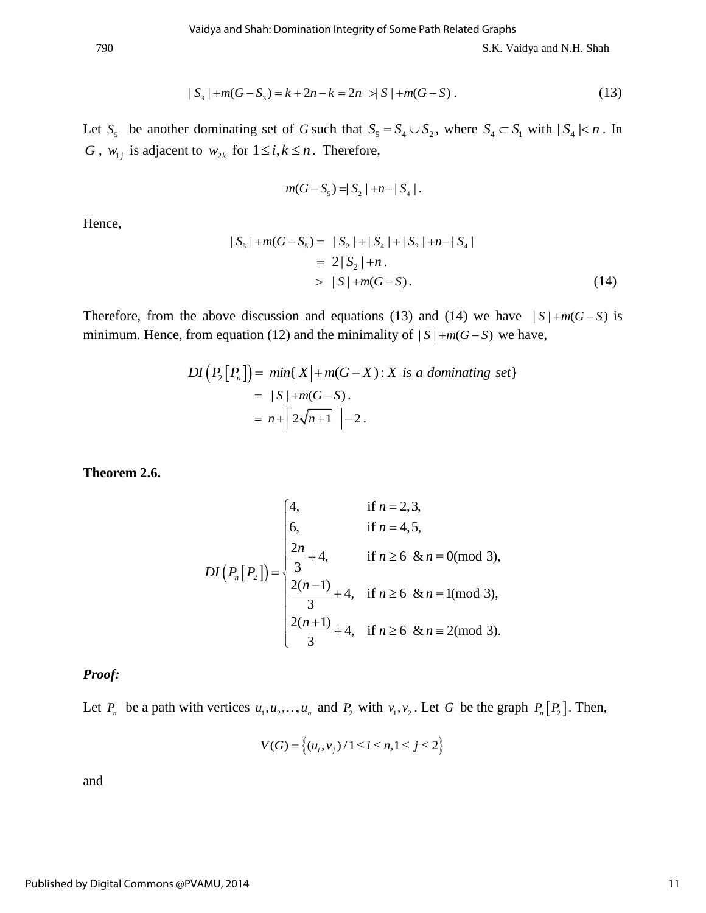$$
|S_3| + m(G - S_3) = k + 2n - k = 2n \ge |S| + m(G - S).
$$
 (13)

Let  $S_5$  be another dominating set of G such that  $S_5 = S_4 \cup S_2$ , where  $S_4 \subset S_1$  with  $|S_4| < n$ . In *G*,  $w_{1j}$  is adjacent to  $w_{2k}$  for  $1 \le i, k \le n$ . Therefore,

$$
m(G - S_5) = |S_2| + n - |S_4|.
$$

Hence,

$$
|S_5| + m(G - S_5) = |S_2| + |S_4| + |S_2| + n - |S_4|
$$
  
= 2|S\_2| + n.  
> |S| + m(G - S). (14)

Therefore, from the above discussion and equations (13) and (14) we have  $|S|+m(G-S)$  is<br>minimum. Hence, from equation (12) and the minimality of  $|S|+m(G-S)$  we have,<br> $DI(P_2[P_n]) = min\{|X|+m(G-S)|: X \text{ is a dominating set}\}$ 

minimum. Hence, from equation (12) and the minimality of 
$$
|S| + m(G - S)
$$
 we have,  
\n
$$
DI(P_2[P_n]) = min\{|X| + m(G - X) : X \text{ is a dominating set}\}\
$$
\n
$$
= |S| + m(G - S).
$$
\n
$$
= n + \left\lceil 2\sqrt{n+1} \right\rceil - 2.
$$

**Theorem 2.6.** 

$$
DI(P_n[P_2]) = \begin{cases} 4, & \text{if } n = 2, 3, \\ 6, & \text{if } n = 4, 5, \\ \frac{2n}{3} + 4, & \text{if } n \ge 6 \ \& n \equiv 0 \pmod{3}, \\ \frac{2(n-1)}{3} + 4, & \text{if } n \ge 6 \ \& n \equiv 1 \pmod{3}, \\ \frac{2(n+1)}{3} + 4, & \text{if } n \ge 6 \ \& n \equiv 2 \pmod{3}. \end{cases}
$$

*Proof:* 

Let  $P_n$  be a path with vertices  $u_1, u_2, \ldots, u_n$  and  $P_2$  with  $v_1, v_2$ . Let G be the graph  $P_n[P_2]$ . Then,

$$
V(G) = \{(u_i, v_j) / 1 \le i \le n, 1 \le j \le 2\}
$$

and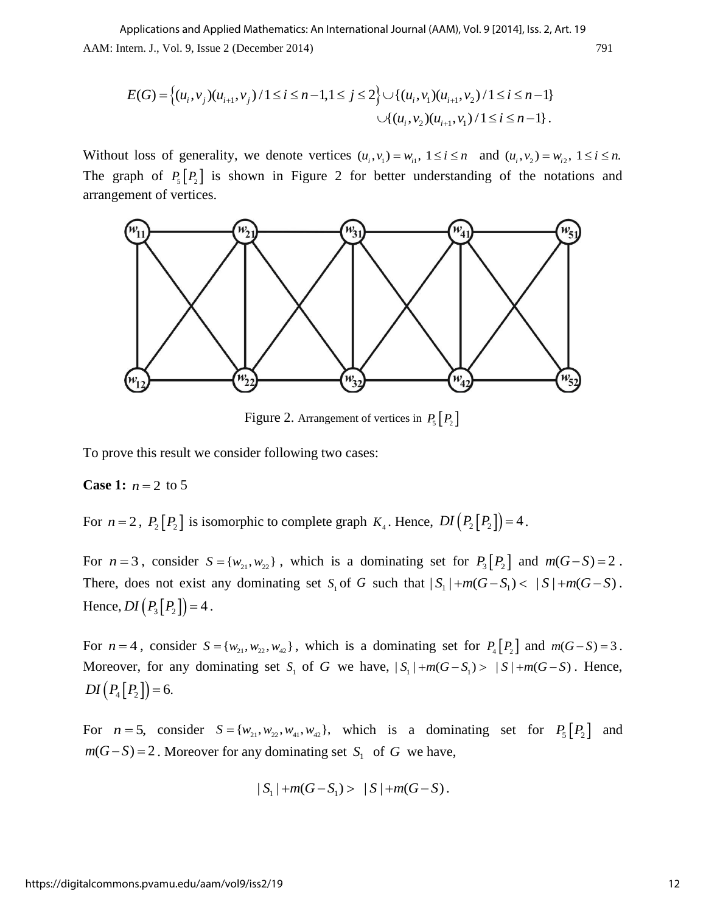AAM: Intern. J., Vol. 9, Issue 2 (December 2014) 791 Applications and Applied Mathematics: An International Journal (AAM), Vol. 9 [2014], Iss. 2, Art. 19

tern. J., Vol. 9, Issue 2 (December 2014)  
\n
$$
E(G) = \left\{ (u_i, v_j)(u_{i+1}, v_j) / 1 \le i \le n-1, 1 \le j \le 2 \right\} \cup \left\{ (u_i, v_1)(u_{i+1}, v_2) / 1 \le i \le n-1 \right\}
$$
\n
$$
\cup \left\{ (u_i, v_2)(u_{i+1}, v_1) / 1 \le i \le n-1 \right\}.
$$

Without loss of generality, we denote vertices  $(u_i, v_1) = w_{i1}$ ,  $1 \le i \le n$  and  $(u_i, v_2) = w_{i2}$ ,  $1 \le i \le n$ . The graph of  $P_5[P_2]$  is shown in Figure 2 for better understanding of the notations and arrangement of vertices.



Figure 2. Arrangement of vertices in  $P_5[P_2]$ 

To prove this result we consider following two cases:

### **Case 1:**  $n = 2$  to 5

For  $n = 2$ ,  $P_2[P_2]$  is isomorphic to complete graph  $K_4$ . Hence,  $DI(P_2[P_2]) = 4$ .

For  $n = 3$ , consider  $S = \{w_{21}, w_{22}\}\$ , which is a dominating set for  $P_3[P_2]$  and  $m(G-S) = 2$ . For  $n = 3$ , consider  $S = \{w_{21}, w_{22}\}\)$ , which is a dominating set for  $P_3[P_2]$  and  $m(G-S) = 2$ .<br>There, does not exist any dominating set  $S_1$  of G such that  $|S_1| + m(G-S_1) < |S| + m(G-S)$ . Hence,  $DI(P_3[P_2]) = 4$ .

For  $n = 4$ , consider  $S = \{w_{21}, w_{22}, w_{42}\}\$ , which is a dominating set for  $P_4[P_2]$  and  $m(G-S) = 3$ . Moreover, for any dominating set  $S_1$  of G we have,  $|S_1| + m(G - S_1) > |S| + m(G - S)$ . Hence,  $DI(P_4[P_2]) = 6.$ 

For  $n = 5$ , consider  $S = \{w_{21}, w_{22}, w_{41}, w_{42}\}$ , which is a dominating set for  $P_5[P_2]$  and  $m(G-S) = 2$ . Moreover for any dominating set  $S_1$  of G we have,

$$
|S_1| + m(G-S_1) > |S| + m(G-S).
$$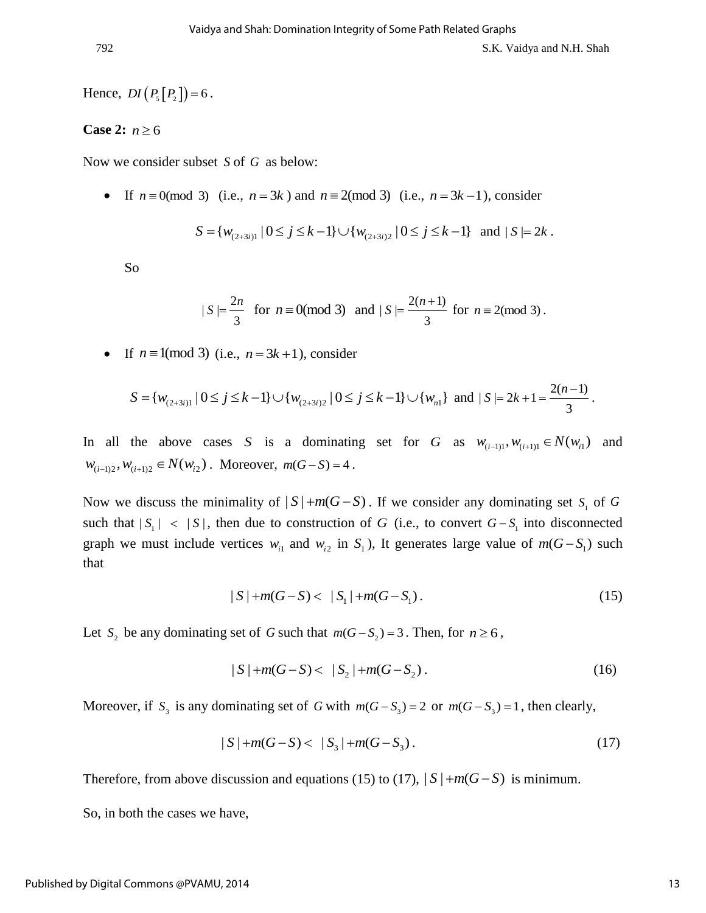Hence,  $DI(P_5[P_2]) = 6$ .

### **Case 2:**  $n \ge 6$

Now we consider subset S of G as below:

• If 
$$
n = 0 \pmod{3}
$$
 (i.e.,  $n = 3k$ ) and  $n = 2 \pmod{3}$  (i.e.,  $n = 3k - 1$ ), consider  
\n
$$
S = \{w_{(2+3i)1} | 0 \le j \le k - 1\} \cup \{w_{(2+3i)2} | 0 \le j \le k - 1\} \text{ and } |S| = 2k.
$$

So

$$
|S| = \frac{2n}{3}
$$
 for  $n \equiv 0 \pmod{3}$  and  $|S| = \frac{2(n+1)}{3}$  for  $n \equiv 2 \pmod{3}$ .

If  $n \equiv 1 \pmod{3}$  (i.e.,  $n = 3k + 1$ ), consider

$$
S = \{w_{(2+3i)1} \mid 0 \le j \le k-1\} \cup \{w_{(2+3i)2} \mid 0 \le j \le k-1\} \cup \{w_{n1}\} \text{ and } |S| = 2k+1 = \frac{2(n-1)}{3}.
$$

In all the above cases *S* is a dominating set for *G* as  $w_{(i-1)1}, w_{(i+1)1} \in N(w_i)$  and  $w_{(i-1)2}, w_{(i+1)2} \in N(w_{i2})$ . Moreover,  $m(G-S) = 4$ .

Now we discuss the minimality of  $|S| + m(G - S)$ . If we consider any dominating set  $S<sub>1</sub>$  of G such that  $|S_1| < |S|$ , then due to construction of G (i.e., to convert  $G-S_1$  into disconnected graph we must include vertices  $w_{i1}$  and  $w_{i2}$  in  $S_1$ ), It generates large value of  $m(G-S_1)$  such that

$$
|S| + m(G - S) < |S_1| + m(G - S_1). \tag{15}
$$

Let  $S_2$  be any dominating set of G such that  $m(G - S_2) = 3$ . Then, for  $n \ge 6$ ,

$$
|S| + m(G - S) < |S_2| + m(G - S_2). \tag{16}
$$

Moreover, if  $S_3$  is any dominating set of G with  $m(G-S_3) = 2$  or  $m(G-S_3) = 1$ , then clearly,

$$
|S| + m(G - S) < |S_3| + m(G - S_3). \tag{17}
$$

Therefore, from above discussion and equations (15) to (17),  $|S| + m(G - S)$  is minimum.

So, in both the cases we have,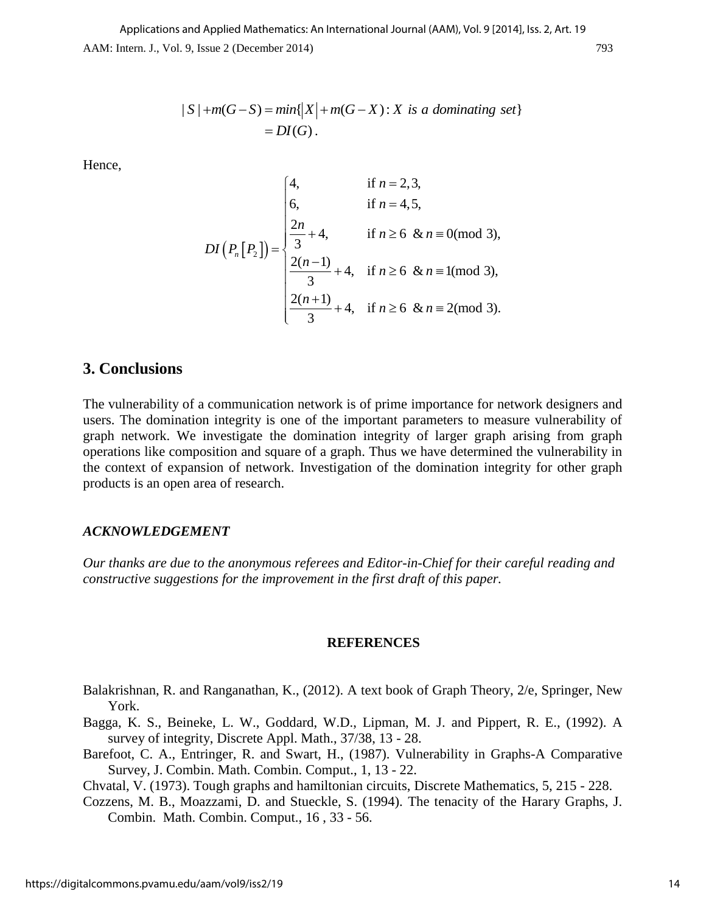$$
|S| + m(G - S) = min\{|X| + m(G - X) : X \text{ is a dominating set}\}
$$

$$
= DI(G).
$$

Hence,

$$
|S|+m(G-S) = min\{|X|+m(G-X): X \text{ is a dominating set}\}
$$
  
\n
$$
= DI(G).
$$
  
\n
$$
DI(P_n[P_2]) = \begin{cases} 4, & \text{if } n = 2, 3, \\ 6, & \text{if } n = 4, 5, \\ \frac{2n}{3} + 4, & \text{if } n \ge 6 \& n \equiv 0 \pmod{3}, \\ \frac{2(n-1)}{3} + 4, & \text{if } n \ge 6 \& n \equiv 1 \pmod{3}, \\ \frac{2(n+1)}{3} + 4, & \text{if } n \ge 6 \& n \equiv 2 \pmod{3}. \end{cases}
$$
  
\nof a communication network is of prime importance for network  
\nation integrity is one of the important parameters to measure. We investigate the domination integrity of larger graph and  
\nmposition and square of a graph. Thus we have determined the  
\npass of network. Investigation of the domination integral  
\nn area of research.  
\n**EMENT**  
\n*ne to the anonymous references and Editor-in-Chief for their car  
\nestions for the improvement in the first draft of this paper.  
\n**REFERENCES**  
\nand Ranganathan, K., (2012). A text book of Graph Theory, 2  
\ninneke, L. W., Goddard, W.D., Lipman, M. J. and Pippert,  
\nmbin. Math. Gombin. Comput., 1, 13 - 22.  
\nEntropy, P, and Swart, H., (1987). Vulnerability in Graph  
\nwhich Math. Combin. Comput., 1, 13 - 22.  
\nEntropy, R. and Swart, H., (1987). Vulnerability in Graph  
\nNoazzami, D. and Sueckle, S. (1994). The tenacity of the  
\nth. Combin. Comput., 16, 33 - 56.*

## **3. Conclusions**

The vulnerability of a communication network is of prime importance for network designers and users. The domination integrity is one of the important parameters to measure vulnerability of graph network. We investigate the domination integrity of larger graph arising from graph operations like composition and square of a graph. Thus we have determined the vulnerability in the context of expansion of network. Investigation of the domination integrity for other graph products is an open area of research.

#### *ACKNOWLEDGEMENT*

*Our thanks are due to the anonymous referees and Editor-in-Chief for their careful reading and constructive suggestions for the improvement in the first draft of this paper.*

#### **REFERENCES**

- Balakrishnan, R. and Ranganathan, K., (2012). A text book of Graph Theory, 2/e, Springer, New York.
- Bagga, K. S., Beineke, L. W., Goddard, W.D., Lipman, M. J. and Pippert, R. E., (1992). A survey of integrity, Discrete Appl. Math., 37/38, 13 - 28.
- Barefoot, C. A., Entringer, R. and Swart, H., (1987). Vulnerability in Graphs-A Comparative Survey, J. Combin. Math. Combin. Comput., 1, 13 - 22.
- Chvatal, V. (1973). Tough graphs and hamiltonian circuits, Discrete Mathematics, 5, 215 228.
- Cozzens, M. B., Moazzami, D. and Stueckle, S. (1994). The tenacity of the Harary Graphs, J. Combin. Math. Combin. Comput., 16 , 33 - 56.